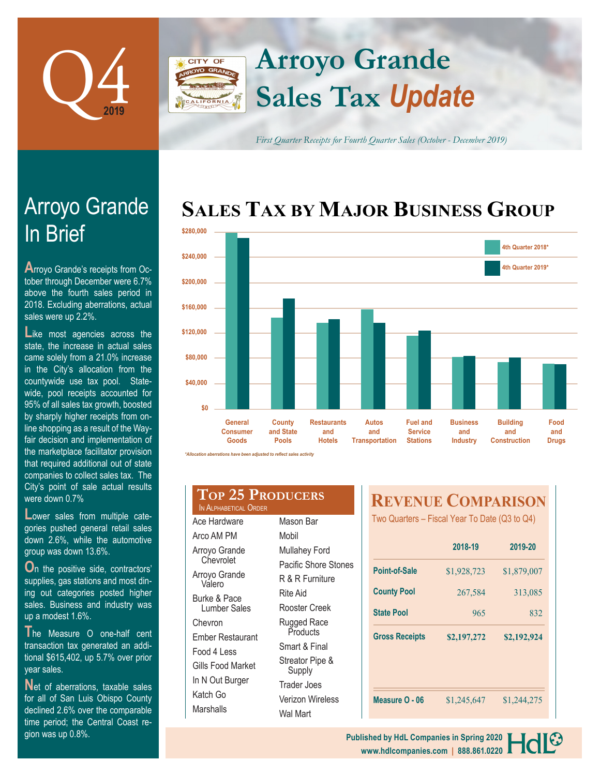

**CITY OF** 

Arroyo Grande

**A**rroyo Grande's receipts from October through December were 6.7% above the fourth sales period in 2018. Excluding aberrations, actual

Like most agencies across the state, the increase in actual sales came solely from a 21.0% increase in the City's allocation from the countywide use tax pool. Statewide, pool receipts accounted for 95% of all sales tax growth, boosted by sharply higher receipts from online shopping as a result of the Wayfair decision and implementation of

In Brief

sales were up 2.2%.

# **Sales Tax** *Update* **Arroyo Grande**

*First Quarter Receipts for Fourth Quarter Sales (October - December 2019)*

## **SALES TAX BY MAJOR BUSINESS GROUP**



| the marketplace facilitator provision |
|---------------------------------------|
| that required additional out of state |
| companies to collect sales tax. The   |
| City's point of sale actual results   |
| were down $0.7\%$                     |

**L**ower sales from multiple categories pushed general retail sales down 2.6%, while the automotive group was down 13.6%.

**O**n the positive side, contractors' supplies, gas stations and most dining out categories posted higher sales. Business and industry was up a modest 1.6%.

**T**he Measure O one-half cent transaction tax generated an additional \$615,402, up 5.7% over prior year sales.

Net of aberrations, taxable sales for all of San Luis Obispo County declined 2.6% over the comparable time period; the Central Coast region was up 0.8%.

#### **Top 25 Producers** IN ALPHABETICAL ORDER

Ace Hardware Arco AM PM Arroyo Grande **Chevrolet** Arroyo Grande Valero Burke & Pace Lumber Sales Chevron Ember Restaurant Food 4 Less Gills Food Market In N Out Burger Katch Go **Marshalls** Mason Bar Mobil Mullahey Ford Pacific Shore Stones R & R Furniture Rite Aid Rooster Creek Rugged Race **Products** Smart & Final Streator Pipe & Supply Trader Joes Verizon Wireless Wal Mart

### **REVENUE COMPARISON**

Two Quarters – Fiscal Year To Date (Q3 to Q4)

|                       | 2018-19     | 2019-20     |  |
|-----------------------|-------------|-------------|--|
| Point-of-Sale         | \$1,928,723 | \$1,879,007 |  |
| <b>County Pool</b>    | 267,584     | 313,085     |  |
| <b>State Pool</b>     | 965         | 832         |  |
| <b>Gross Receipts</b> | \$2,197,272 | \$2,192,924 |  |
| Measure O - 06        | \$1,245,647 | \$1,244,275 |  |